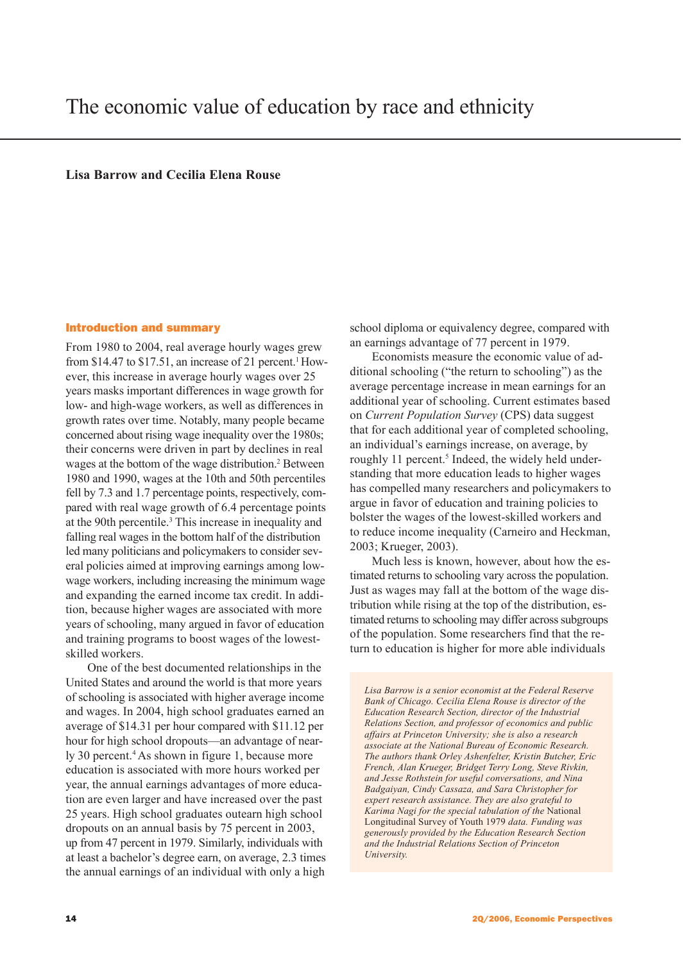**Lisa Barrow and Cecilia Elena Rouse**

### Introduction and summary

From 1980 to 2004, real average hourly wages grew from \$14.47 to \$17.51, an increase of 21 percent.<sup>1</sup> However, this increase in average hourly wages over 25 years masks important differences in wage growth for low- and high-wage workers, as well as differences in growth rates over time. Notably, many people became concerned about rising wage inequality over the 1980s; their concerns were driven in part by declines in real wages at the bottom of the wage distribution.<sup>2</sup> Between 1980 and 1990, wages at the 10th and 50th percentiles fell by 7.3 and 1.7 percentage points, respectively, compared with real wage growth of 6.4 percentage points at the 90th percentile.<sup>3</sup> This increase in inequality and falling real wages in the bottom half of the distribution led many politicians and policymakers to consider several policies aimed at improving earnings among lowwage workers, including increasing the minimum wage and expanding the earned income tax credit. In addition, because higher wages are associated with more years of schooling, many argued in favor of education and training programs to boost wages of the lowestskilled workers.

One of the best documented relationships in the United States and around the world is that more years of schooling is associated with higher average income and wages. In 2004, high school graduates earned an average of \$14.31 per hour compared with \$11.12 per hour for high school dropouts—an advantage of nearly 30 percent.<sup>4</sup> As shown in figure 1, because more education is associated with more hours worked per year, the annual earnings advantages of more education are even larger and have increased over the past 25 years. High school graduates outearn high school dropouts on an annual basis by 75 percent in 2003, up from 47 percent in 1979. Similarly, individuals with at least a bachelor's degree earn, on average, 2.3 times the annual earnings of an individual with only a high

school diploma or equivalency degree, compared with an earnings advantage of 77 percent in 1979.

Economists measure the economic value of additional schooling ("the return to schooling") as the average percentage increase in mean earnings for an additional year of schooling. Current estimates based on *Current Population Survey* (CPS) data suggest that for each additional year of completed schooling, an individual's earnings increase, on average, by roughly 11 percent.<sup>5</sup> Indeed, the widely held understanding that more education leads to higher wages has compelled many researchers and policymakers to argue in favor of education and training policies to bolster the wages of the lowest-skilled workers and to reduce income inequality (Carneiro and Heckman, 2003; Krueger, 2003).

Much less is known, however, about how the estimated returns to schooling vary across the population. Just as wages may fall at the bottom of the wage distribution while rising at the top of the distribution, estimated returns to schooling may differ across subgroups of the population. Some researchers find that the return to education is higher for more able individuals

*Lisa Barrow is a senior economist at the Federal Reserve Bank of Chicago. Cecilia Elena Rouse is director of the Education Research Section, director of the Industrial Relations Section, and professor of economics and public affairs at Princeton University; she is also a research associate at the National Bureau of Economic Research. The authors thank Orley Ashenfelter, Kristin Butcher, Eric French, Alan Krueger, Bridget Terry Long, Steve Rivkin, and Jesse Rothstein for useful conversations, and Nina Badgaiyan, Cindy Cassaza, and Sara Christopher for expert research assistance. They are also grateful to Karima Nagi for the special tabulation of the* National Longitudinal Survey of Youth 1979 *data. Funding was generously provided by the Education Research Section and the Industrial Relations Section of Princeton University.*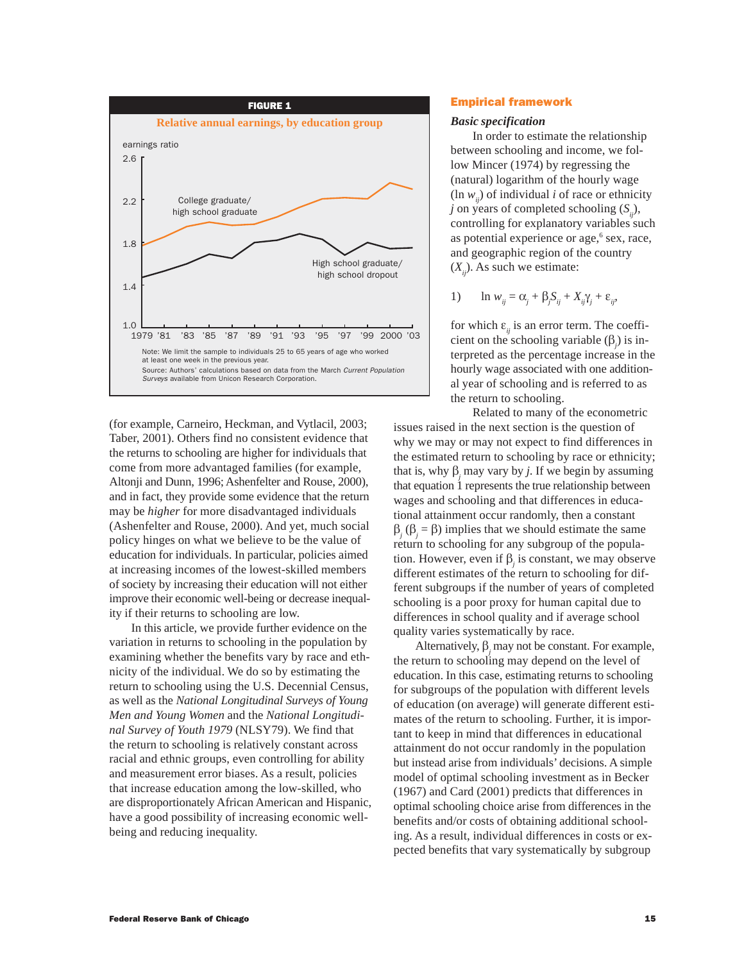

(for example, Carneiro, Heckman, and Vytlacil, 2003; Taber, 2001). Others find no consistent evidence that the returns to schooling are higher for individuals that come from more advantaged families (for example, Altonji and Dunn, 1996; Ashenfelter and Rouse, 2000), and in fact, they provide some evidence that the return may be *higher* for more disadvantaged individuals (Ashenfelter and Rouse, 2000). And yet, much social policy hinges on what we believe to be the value of education for individuals. In particular, policies aimed at increasing incomes of the lowest-skilled members of society by increasing their education will not either improve their economic well-being or decrease inequality if their returns to schooling are low.

In this article, we provide further evidence on the variation in returns to schooling in the population by examining whether the benefits vary by race and ethnicity of the individual. We do so by estimating the return to schooling using the U.S. Decennial Census, as well as the *National Longitudinal Surveys of Young Men and Young Women* and the *National Longitudinal Survey of Youth 1979* (NLSY79). We find that the return to schooling is relatively constant across racial and ethnic groups, even controlling for ability and measurement error biases. As a result, policies that increase education among the low-skilled, who are disproportionately African American and Hispanic, have a good possibility of increasing economic wellbeing and reducing inequality.

# Empirical framework

### *Basic specification*

In order to estimate the relationship between schooling and income, we follow Mincer (1974) by regressing the (natural) logarithm of the hourly wage  $(\ln w_i)$  of individual *i* of race or ethnicity  $j$  on years of completed schooling  $(S_{i,j})$ , controlling for explanatory variables such as potential experience or age,<sup>6</sup> sex, race, and geographic region of the country  $(X_{ii})$ . As such we estimate:

1) 
$$
\ln w_{ij} = \alpha_j + \beta_j S_{ij} + X_{ij} \gamma_j + \varepsilon_{ij},
$$

for which  $\varepsilon_{ii}$  is an error term. The coefficient on the schooling variable  $(\beta_j)$  is interpreted as the percentage increase in the hourly wage associated with one additional year of schooling and is referred to as the return to schooling.

Related to many of the econometric issues raised in the next section is the question of why we may or may not expect to find differences in the estimated return to schooling by race or ethnicity; that is, why  $\beta_j$  may vary by *j*. If we begin by assuming that equation 1 represents the true relationship between wages and schooling and that differences in educational attainment occur randomly, then a constant β*j* (β*<sup>j</sup>* = β) implies that we should estimate the same return to schooling for any subgroup of the population. However, even if  $\beta_j$  is constant, we may observe different estimates of the return to schooling for different subgroups if the number of years of completed schooling is a poor proxy for human capital due to differences in school quality and if average school quality varies systematically by race.

Alternatively,  $\beta_j$  may not be constant. For example, the return to schooling may depend on the level of education. In this case, estimating returns to schooling for subgroups of the population with different levels of education (on average) will generate different estimates of the return to schooling. Further, it is important to keep in mind that differences in educational attainment do not occur randomly in the population but instead arise from individuals' decisions. A simple model of optimal schooling investment as in Becker (1967) and Card (2001) predicts that differences in optimal schooling choice arise from differences in the benefits and/or costs of obtaining additional schooling. As a result, individual differences in costs or expected benefits that vary systematically by subgroup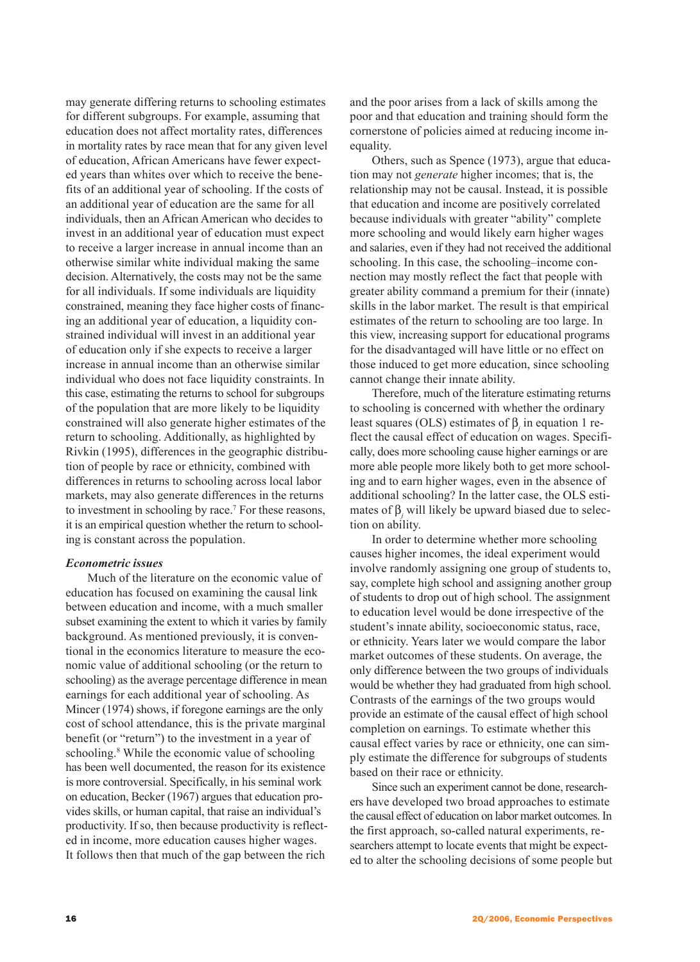may generate differing returns to schooling estimates for different subgroups. For example, assuming that education does not affect mortality rates, differences in mortality rates by race mean that for any given level of education, African Americans have fewer expected years than whites over which to receive the benefits of an additional year of schooling. If the costs of an additional year of education are the same for all individuals, then an African American who decides to invest in an additional year of education must expect to receive a larger increase in annual income than an otherwise similar white individual making the same decision. Alternatively, the costs may not be the same for all individuals. If some individuals are liquidity constrained, meaning they face higher costs of financing an additional year of education, a liquidity constrained individual will invest in an additional year of education only if she expects to receive a larger increase in annual income than an otherwise similar individual who does not face liquidity constraints. In this case, estimating the returns to school for subgroups of the population that are more likely to be liquidity constrained will also generate higher estimates of the return to schooling. Additionally, as highlighted by Rivkin (1995), differences in the geographic distribution of people by race or ethnicity, combined with differences in returns to schooling across local labor markets, may also generate differences in the returns to investment in schooling by race.7 For these reasons, it is an empirical question whether the return to schooling is constant across the population.

# *Econometric issues*

Much of the literature on the economic value of education has focused on examining the causal link between education and income, with a much smaller subset examining the extent to which it varies by family background. As mentioned previously, it is conventional in the economics literature to measure the economic value of additional schooling (or the return to schooling) as the average percentage difference in mean earnings for each additional year of schooling. As Mincer (1974) shows, if foregone earnings are the only cost of school attendance, this is the private marginal benefit (or "return") to the investment in a year of schooling.<sup>8</sup> While the economic value of schooling has been well documented, the reason for its existence is more controversial. Specifically, in his seminal work on education, Becker (1967) argues that education provides skills, or human capital, that raise an individual's productivity. If so, then because productivity is reflected in income, more education causes higher wages. It follows then that much of the gap between the rich

and the poor arises from a lack of skills among the poor and that education and training should form the cornerstone of policies aimed at reducing income inequality.

Others, such as Spence (1973), argue that education may not *generate* higher incomes; that is, the relationship may not be causal. Instead, it is possible that education and income are positively correlated because individuals with greater "ability" complete more schooling and would likely earn higher wages and salaries, even if they had not received the additional schooling. In this case, the schooling–income connection may mostly reflect the fact that people with greater ability command a premium for their (innate) skills in the labor market. The result is that empirical estimates of the return to schooling are too large. In this view, increasing support for educational programs for the disadvantaged will have little or no effect on those induced to get more education, since schooling cannot change their innate ability.

Therefore, much of the literature estimating returns to schooling is concerned with whether the ordinary least squares (OLS) estimates of β*<sup>j</sup>* in equation 1 reflect the causal effect of education on wages. Specifically, does more schooling cause higher earnings or are more able people more likely both to get more schooling and to earn higher wages, even in the absence of additional schooling? In the latter case, the OLS estimates of β*<sup>j</sup>* will likely be upward biased due to selection on ability.

In order to determine whether more schooling causes higher incomes, the ideal experiment would involve randomly assigning one group of students to, say, complete high school and assigning another group of students to drop out of high school. The assignment to education level would be done irrespective of the student's innate ability, socioeconomic status, race, or ethnicity. Years later we would compare the labor market outcomes of these students. On average, the only difference between the two groups of individuals would be whether they had graduated from high school. Contrasts of the earnings of the two groups would provide an estimate of the causal effect of high school completion on earnings. To estimate whether this causal effect varies by race or ethnicity, one can simply estimate the difference for subgroups of students based on their race or ethnicity.

Since such an experiment cannot be done, researchers have developed two broad approaches to estimate the causal effect of education on labor market outcomes. In the first approach, so-called natural experiments, researchers attempt to locate events that might be expected to alter the schooling decisions of some people but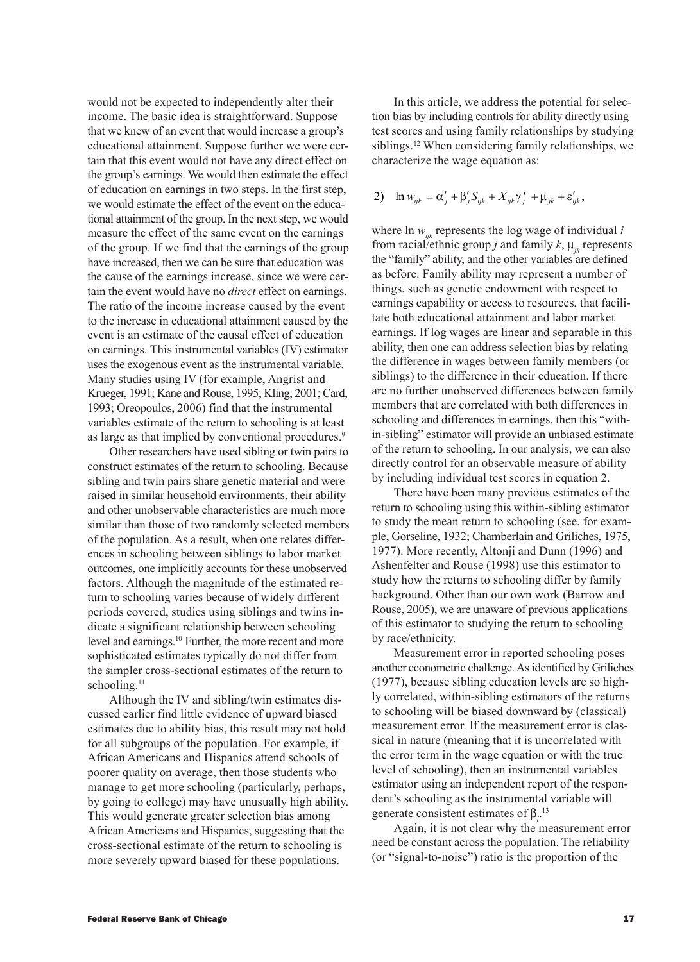would not be expected to independently alter their income. The basic idea is straightforward. Suppose that we knew of an event that would increase a group's educational attainment. Suppose further we were certain that this event would not have any direct effect on the group's earnings. We would then estimate the effect of education on earnings in two steps. In the first step, we would estimate the effect of the event on the educational attainment of the group. In the next step, we would measure the effect of the same event on the earnings of the group. If we find that the earnings of the group have increased, then we can be sure that education was the cause of the earnings increase, since we were certain the event would have no *direct* effect on earnings. The ratio of the income increase caused by the event to the increase in educational attainment caused by the event is an estimate of the causal effect of education on earnings. This instrumental variables (IV) estimator uses the exogenous event as the instrumental variable. Many studies using IV (for example, Angrist and Krueger, 1991; Kane and Rouse, 1995; Kling, 2001; Card, 1993; Oreopoulos, 2006) find that the instrumental variables estimate of the return to schooling is at least as large as that implied by conventional procedures.<sup>9</sup>

Other researchers have used sibling or twin pairs to construct estimates of the return to schooling. Because sibling and twin pairs share genetic material and were raised in similar household environments, their ability and other unobservable characteristics are much more similar than those of two randomly selected members of the population. As a result, when one relates differences in schooling between siblings to labor market outcomes, one implicitly accounts for these unobserved factors. Although the magnitude of the estimated return to schooling varies because of widely different periods covered, studies using siblings and twins indicate a significant relationship between schooling level and earnings.10 Further, the more recent and more sophisticated estimates typically do not differ from the simpler cross-sectional estimates of the return to schooling. $11$ 

Although the IV and sibling/twin estimates discussed earlier find little evidence of upward biased estimates due to ability bias, this result may not hold for all subgroups of the population. For example, if African Americans and Hispanics attend schools of poorer quality on average, then those students who manage to get more schooling (particularly, perhaps, by going to college) may have unusually high ability. This would generate greater selection bias among African Americans and Hispanics, suggesting that the cross-sectional estimate of the return to schooling is more severely upward biased for these populations.

In this article, we address the potential for selection bias by including controls for ability directly using test scores and using family relationships by studying siblings.<sup>12</sup> When considering family relationships, we characterize the wage equation as:

2) 
$$
\ln w_{ijk} = \alpha'_j + \beta'_j S_{ijk} + X_{ijk} \gamma'_j + \mu_{jk} + \varepsilon'_{ijk},
$$

where  $\ln w_{ijk}$  represents the log wage of individual *i* from racial/ethnic group *j* and family  $k$ ,  $\mu_{ik}$  represents the "family" ability, and the other variables are defined as before. Family ability may represent a number of things, such as genetic endowment with respect to earnings capability or access to resources, that facilitate both educational attainment and labor market earnings. If log wages are linear and separable in this ability, then one can address selection bias by relating the difference in wages between family members (or siblings) to the difference in their education. If there are no further unobserved differences between family members that are correlated with both differences in schooling and differences in earnings, then this "within-sibling" estimator will provide an unbiased estimate of the return to schooling. In our analysis, we can also directly control for an observable measure of ability by including individual test scores in equation 2.

There have been many previous estimates of the return to schooling using this within-sibling estimator to study the mean return to schooling (see, for example, Gorseline, 1932; Chamberlain and Griliches, 1975, 1977). More recently, Altonji and Dunn (1996) and Ashenfelter and Rouse (1998) use this estimator to study how the returns to schooling differ by family background. Other than our own work (Barrow and Rouse, 2005), we are unaware of previous applications of this estimator to studying the return to schooling by race/ethnicity.

Measurement error in reported schooling poses another econometric challenge. As identified by Griliches (1977), because sibling education levels are so highly correlated, within-sibling estimators of the returns to schooling will be biased downward by (classical) measurement error. If the measurement error is classical in nature (meaning that it is uncorrelated with the error term in the wage equation or with the true level of schooling), then an instrumental variables estimator using an independent report of the respondent's schooling as the instrumental variable will generate consistent estimates of β*<sup>j</sup>* . 13

Again, it is not clear why the measurement error need be constant across the population. The reliability (or "signal-to-noise") ratio is the proportion of the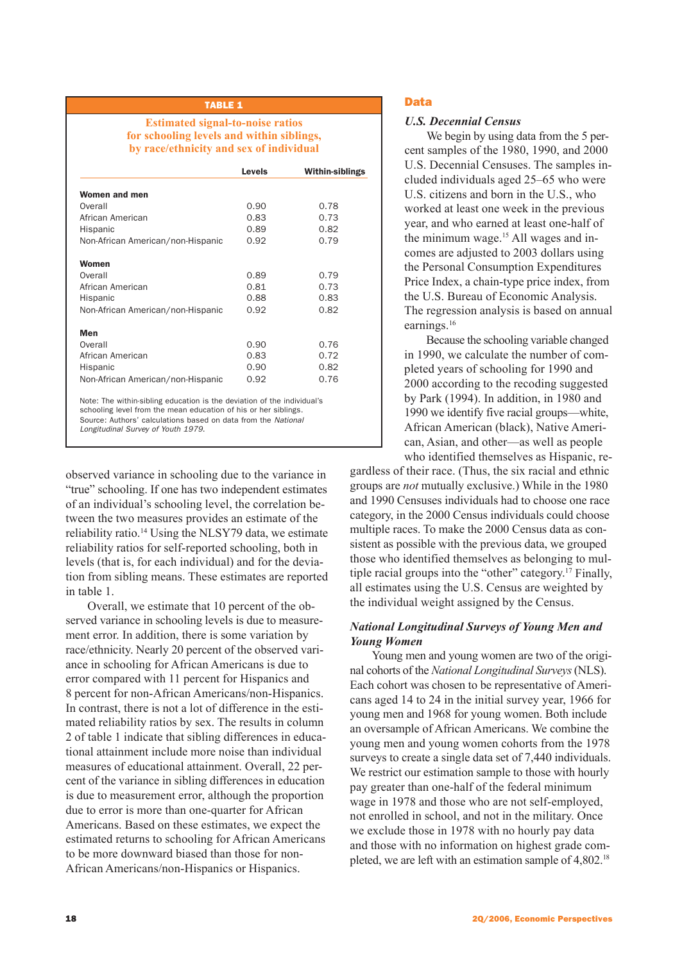**Estimated signal-to-noise ratios for schooling levels and within siblings, by race/ethnicity and sex of individual**

|                                                                                                                                            | Levels | <b>Within-siblings</b> |
|--------------------------------------------------------------------------------------------------------------------------------------------|--------|------------------------|
| Women and men                                                                                                                              |        |                        |
| Overall                                                                                                                                    | 0.90   | 0.78                   |
| African American                                                                                                                           | 0.83   | 0.73                   |
| Hispanic                                                                                                                                   | 0.89   | 0.82                   |
| Non-African American/non-Hispanic                                                                                                          | 0.92   | 0.79                   |
| Women                                                                                                                                      |        |                        |
| Overall                                                                                                                                    | 0.89   | 0.79                   |
| African American                                                                                                                           | 0.81   | 0.73                   |
| Hispanic                                                                                                                                   | 0.88   | 0.83                   |
| Non-African American/non-Hispanic                                                                                                          | 0.92   | 0.82                   |
| Men                                                                                                                                        |        |                        |
| Overall                                                                                                                                    | 0.90   | 0.76                   |
| African American                                                                                                                           | 0.83   | 0.72                   |
| Hispanic                                                                                                                                   | 0.90   | 0.82                   |
| Non-African American/non-Hispanic                                                                                                          | 0.92   | 0.76                   |
| Note: The within-sibling education is the deviation of the individual's<br>schooling level from the mean education of his or her siblings. |        |                        |

schooling level from the mean education of his or her siblings. Source: Authors' calculations based on data from the National

Longitudinal Survey of Youth 1979.

observed variance in schooling due to the variance in "true" schooling. If one has two independent estimates of an individual's schooling level, the correlation between the two measures provides an estimate of the reliability ratio.<sup>14</sup> Using the NLSY79 data, we estimate reliability ratios for self-reported schooling, both in levels (that is, for each individual) and for the deviation from sibling means. These estimates are reported in table 1.

Overall, we estimate that 10 percent of the observed variance in schooling levels is due to measurement error. In addition, there is some variation by race/ethnicity. Nearly 20 percent of the observed variance in schooling for African Americans is due to error compared with 11 percent for Hispanics and 8 percent for non-African Americans/non-Hispanics. In contrast, there is not a lot of difference in the estimated reliability ratios by sex. The results in column 2 of table 1 indicate that sibling differences in educational attainment include more noise than individual measures of educational attainment. Overall, 22 percent of the variance in sibling differences in education is due to measurement error, although the proportion due to error is more than one-quarter for African Americans. Based on these estimates, we expect the estimated returns to schooling for African Americans to be more downward biased than those for non-African Americans/non-Hispanics or Hispanics.

# Data

### *U.S. Decennial Census*

We begin by using data from the 5 percent samples of the 1980, 1990, and 2000 U.S. Decennial Censuses. The samples included individuals aged 25–65 who were U.S. citizens and born in the U.S., who worked at least one week in the previous year, and who earned at least one-half of the minimum wage.<sup>15</sup> All wages and incomes are adjusted to 2003 dollars using the Personal Consumption Expenditures Price Index, a chain-type price index, from the U.S. Bureau of Economic Analysis. The regression analysis is based on annual earnings.<sup>16</sup>

Because the schooling variable changed in 1990, we calculate the number of completed years of schooling for 1990 and 2000 according to the recoding suggested by Park (1994). In addition, in 1980 and 1990 we identify five racial groups—white, African American (black), Native American, Asian, and other—as well as people who identified themselves as Hispanic, re-

gardless of their race. (Thus, the six racial and ethnic groups are *not* mutually exclusive.) While in the 1980 and 1990 Censuses individuals had to choose one race category, in the 2000 Census individuals could choose multiple races. To make the 2000 Census data as consistent as possible with the previous data, we grouped those who identified themselves as belonging to multiple racial groups into the "other" category.17 Finally, all estimates using the U.S. Census are weighted by the individual weight assigned by the Census.

# *National Longitudinal Surveys of Young Men and Young Women*

Young men and young women are two of the original cohorts of the *National Longitudinal Surveys* (NLS). Each cohort was chosen to be representative of Americans aged 14 to 24 in the initial survey year, 1966 for young men and 1968 for young women. Both include an oversample of African Americans. We combine the young men and young women cohorts from the 1978 surveys to create a single data set of 7,440 individuals. We restrict our estimation sample to those with hourly pay greater than one-half of the federal minimum wage in 1978 and those who are not self-employed, not enrolled in school, and not in the military. Once we exclude those in 1978 with no hourly pay data and those with no information on highest grade completed, we are left with an estimation sample of 4,802.18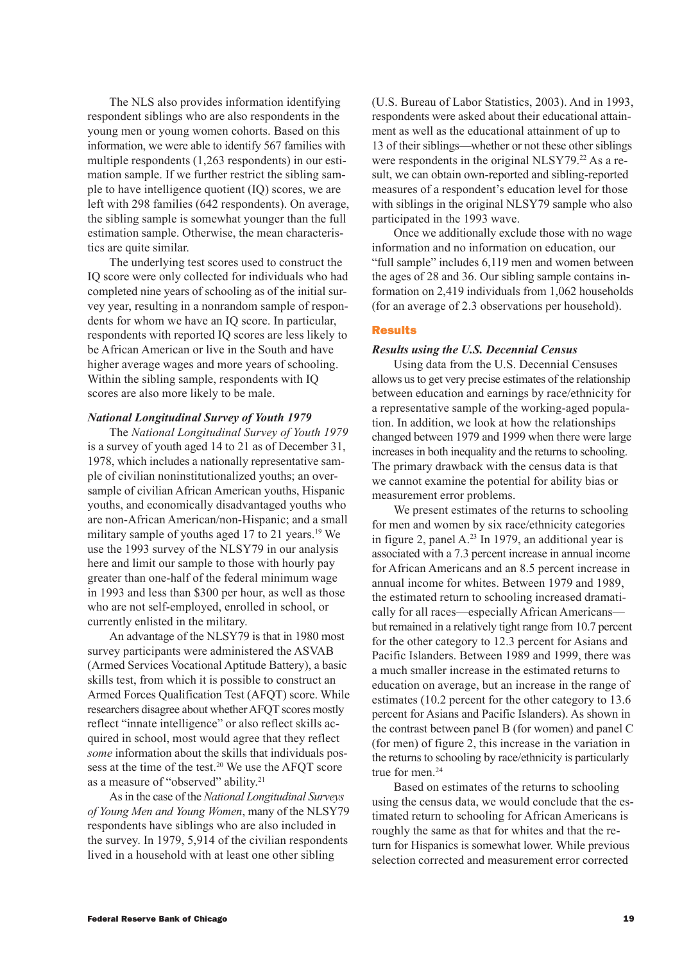The NLS also provides information identifying respondent siblings who are also respondents in the young men or young women cohorts. Based on this information, we were able to identify 567 families with multiple respondents (1,263 respondents) in our estimation sample. If we further restrict the sibling sample to have intelligence quotient (IQ) scores, we are left with 298 families (642 respondents). On average, the sibling sample is somewhat younger than the full estimation sample. Otherwise, the mean characteristics are quite similar.

The underlying test scores used to construct the IQ score were only collected for individuals who had completed nine years of schooling as of the initial survey year, resulting in a nonrandom sample of respondents for whom we have an IQ score. In particular, respondents with reported IQ scores are less likely to be African American or live in the South and have higher average wages and more years of schooling. Within the sibling sample, respondents with IQ scores are also more likely to be male.

# *National Longitudinal Survey of Youth 1979*

The *National Longitudinal Survey of Youth 1979* is a survey of youth aged 14 to 21 as of December 31, 1978, which includes a nationally representative sample of civilian noninstitutionalized youths; an oversample of civilian African American youths, Hispanic youths, and economically disadvantaged youths who are non-African American/non-Hispanic; and a small military sample of youths aged 17 to 21 years.<sup>19</sup> We use the 1993 survey of the NLSY79 in our analysis here and limit our sample to those with hourly pay greater than one-half of the federal minimum wage in 1993 and less than \$300 per hour, as well as those who are not self-employed, enrolled in school, or currently enlisted in the military.

An advantage of the NLSY79 is that in 1980 most survey participants were administered the ASVAB (Armed Services Vocational Aptitude Battery), a basic skills test, from which it is possible to construct an Armed Forces Qualification Test (AFQT) score. While researchers disagree about whether AFQT scores mostly reflect "innate intelligence" or also reflect skills acquired in school, most would agree that they reflect *some* information about the skills that individuals possess at the time of the test.<sup>20</sup> We use the AFQT score as a measure of "observed" ability.<sup>21</sup>

As in the case of the *National Longitudinal Surveys of Young Men and Young Women*, many of the NLSY79 respondents have siblings who are also included in the survey. In 1979, 5,914 of the civilian respondents lived in a household with at least one other sibling

(U.S. Bureau of Labor Statistics, 2003). And in 1993, respondents were asked about their educational attainment as well as the educational attainment of up to 13 of their siblings—whether or not these other siblings were respondents in the original NLSY79.<sup>22</sup> As a result, we can obtain own-reported and sibling-reported measures of a respondent's education level for those with siblings in the original NLSY79 sample who also participated in the 1993 wave.

Once we additionally exclude those with no wage information and no information on education, our "full sample" includes 6,119 men and women between the ages of 28 and 36. Our sibling sample contains information on 2,419 individuals from 1,062 households (for an average of 2.3 observations per household).

### Results

### *Results using the U.S. Decennial Census*

Using data from the U.S. Decennial Censuses allows us to get very precise estimates of the relationship between education and earnings by race/ethnicity for a representative sample of the working-aged population. In addition, we look at how the relationships changed between 1979 and 1999 when there were large increases in both inequality and the returns to schooling. The primary drawback with the census data is that we cannot examine the potential for ability bias or measurement error problems.

We present estimates of the returns to schooling for men and women by six race/ethnicity categories in figure 2, panel A.<sup>23</sup> In 1979, an additional year is associated with a 7.3 percent increase in annual income for African Americans and an 8.5 percent increase in annual income for whites. Between 1979 and 1989, the estimated return to schooling increased dramatically for all races—especially African Americans but remained in a relatively tight range from 10.7 percent for the other category to 12.3 percent for Asians and Pacific Islanders. Between 1989 and 1999, there was a much smaller increase in the estimated returns to education on average, but an increase in the range of estimates (10.2 percent for the other category to 13.6 percent for Asians and Pacific Islanders). As shown in the contrast between panel B (for women) and panel C (for men) of figure 2, this increase in the variation in the returns to schooling by race/ethnicity is particularly true for men.<sup>24</sup>

Based on estimates of the returns to schooling using the census data, we would conclude that the estimated return to schooling for African Americans is roughly the same as that for whites and that the return for Hispanics is somewhat lower. While previous selection corrected and measurement error corrected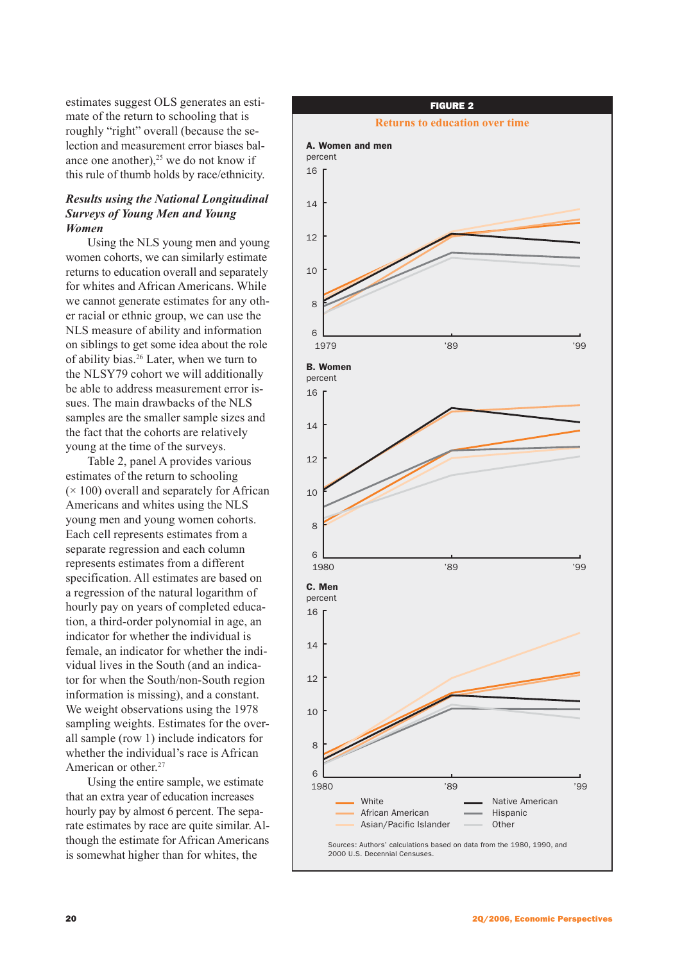estimates suggest OLS generates an estimate of the return to schooling that is roughly "right" overall (because the selection and measurement error biases balance one another), $25$  we do not know if this rule of thumb holds by race/ethnicity.

# *Results using the National Longitudinal Surveys of Young Men and Young Women*

Using the NLS young men and young women cohorts, we can similarly estimate returns to education overall and separately for whites and African Americans. While we cannot generate estimates for any other racial or ethnic group, we can use the NLS measure of ability and information on siblings to get some idea about the role of ability bias.26 Later, when we turn to the NLSY79 cohort we will additionally be able to address measurement error issues. The main drawbacks of the NLS samples are the smaller sample sizes and the fact that the cohorts are relatively young at the time of the surveys.

Table 2, panel A provides various estimates of the return to schooling  $(\times 100)$  overall and separately for African Americans and whites using the NLS young men and young women cohorts. Each cell represents estimates from a separate regression and each column represents estimates from a different specification. All estimates are based on a regression of the natural logarithm of hourly pay on years of completed education, a third-order polynomial in age, an indicator for whether the individual is female, an indicator for whether the individual lives in the South (and an indicator for when the South/non-South region information is missing), and a constant. We weight observations using the 1978 sampling weights. Estimates for the overall sample (row 1) include indicators for whether the individual's race is African American or other.<sup>27</sup>

Using the entire sample, we estimate that an extra year of education increases hourly pay by almost 6 percent. The separate estimates by race are quite similar. Although the estimate for African Americans is somewhat higher than for whites, the

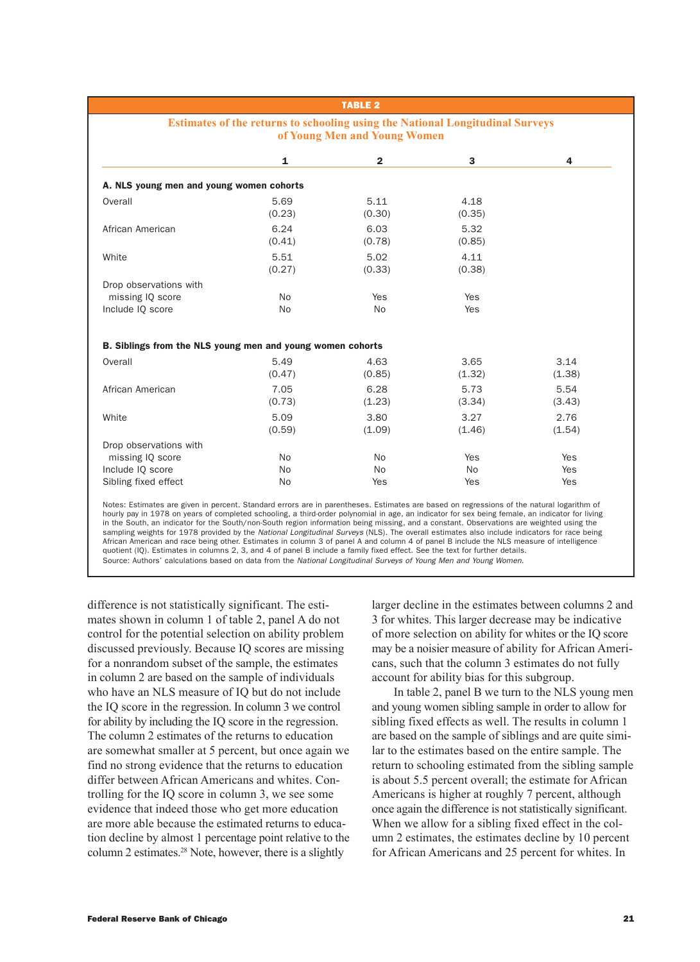## **Estimates of the returns to schooling using the National Longitudinal Surveys of Young Men and Young Women**

|                                                            | 1              | $\overline{2}$ | 3              | 4      |
|------------------------------------------------------------|----------------|----------------|----------------|--------|
| A. NLS young men and young women cohorts                   |                |                |                |        |
| Overall                                                    | 5.69<br>(0.23) | 5.11<br>(0.30) | 4.18<br>(0.35) |        |
| African American                                           | 6.24<br>(0.41) | 6.03<br>(0.78) | 5.32<br>(0.85) |        |
| White                                                      | 5.51<br>(0.27) | 5.02<br>(0.33) | 4.11<br>(0.38) |        |
| Drop observations with                                     |                |                |                |        |
| missing IQ score                                           | <b>No</b>      | Yes            | Yes            |        |
| Include IQ score                                           | <b>No</b>      | <b>No</b>      | Yes            |        |
| B. Siblings from the NLS young men and young women cohorts |                |                |                |        |
| Overall                                                    | 5.49           | 4.63           | 3.65           | 3.14   |
|                                                            | (0.47)         | (0.85)         | (1.32)         | (1.38) |
| African American                                           | 7.05           | 6.28           | 5.73           | 5.54   |
|                                                            | (0.73)         | (1.23)         | (3.34)         | (3.43) |
| White                                                      | 5.09           | 3.80           | 3.27           | 2.76   |
|                                                            | (0.59)         | (1.09)         | (1.46)         | (1.54) |
| Drop observations with                                     |                |                |                |        |
| missing IQ score                                           | <b>No</b>      | <b>No</b>      | Yes            | Yes    |
|                                                            |                |                |                |        |
| Include IQ score                                           | <b>No</b>      | <b>No</b>      | No             | Yes    |

Notes: Estimates are given in percent. Standard errors are in parentheses. Estimates are based on regressions of the natural logarithm of hourly pay in 1978 on years of completed schooling, a third-order polynomial in age, an indicator for sex being female, an indicator for living in the South, an indicator for the South/non-South region information being missing, and a constant. Observations are weighted using the sampling weights for 1978 provided by the National Longitudinal Surveys (NLS). The overall estimates also include indicators for race being African American and race being other. Estimates in column 3 of panel A and column 4 of panel B include the NLS measure of intelligence quotient (IQ). Estimates in columns 2, 3, and 4 of panel B include a family fixed effect. See the text for further details. Source: Authors' calculations based on data from the National Longitudinal Surveys of Young Men and Young Women.

difference is not statistically significant. The estimates shown in column 1 of table 2, panel A do not control for the potential selection on ability problem discussed previously. Because IQ scores are missing for a nonrandom subset of the sample, the estimates in column 2 are based on the sample of individuals who have an NLS measure of IQ but do not include the IQ score in the regression. In column 3 we control for ability by including the IQ score in the regression. The column 2 estimates of the returns to education are somewhat smaller at 5 percent, but once again we find no strong evidence that the returns to education differ between African Americans and whites. Controlling for the IQ score in column 3, we see some evidence that indeed those who get more education are more able because the estimated returns to education decline by almost 1 percentage point relative to the column 2 estimates.28 Note, however, there is a slightly

larger decline in the estimates between columns 2 and 3 for whites. This larger decrease may be indicative of more selection on ability for whites or the IQ score may be a noisier measure of ability for African Americans, such that the column 3 estimates do not fully account for ability bias for this subgroup.

In table 2, panel B we turn to the NLS young men and young women sibling sample in order to allow for sibling fixed effects as well. The results in column 1 are based on the sample of siblings and are quite similar to the estimates based on the entire sample. The return to schooling estimated from the sibling sample is about 5.5 percent overall; the estimate for African Americans is higher at roughly 7 percent, although once again the difference is not statistically significant. When we allow for a sibling fixed effect in the column 2 estimates, the estimates decline by 10 percent for African Americans and 25 percent for whites. In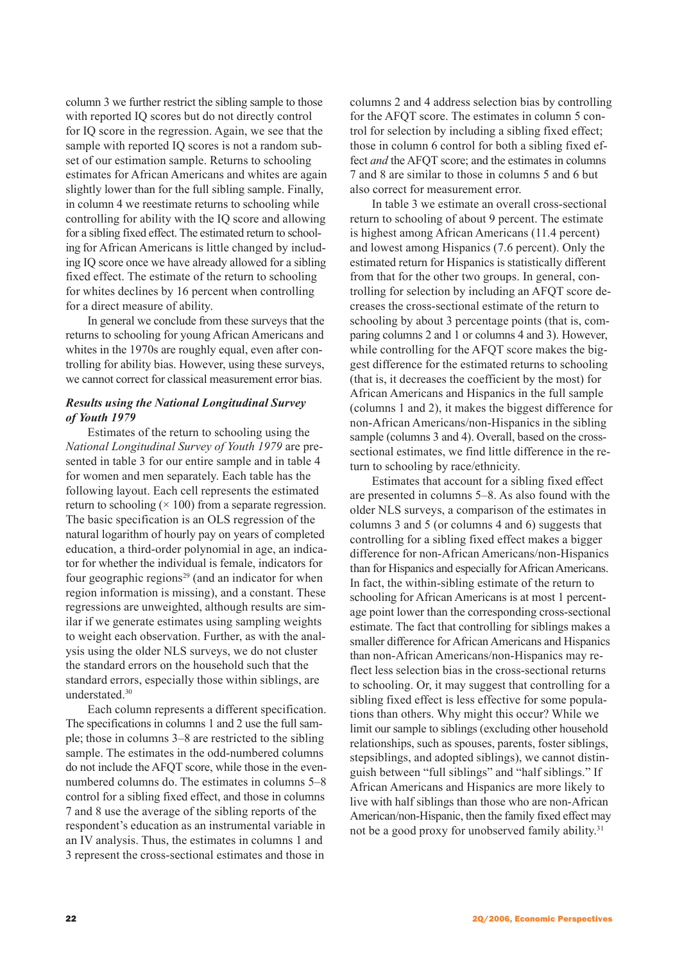column 3 we further restrict the sibling sample to those with reported IQ scores but do not directly control for IQ score in the regression. Again, we see that the sample with reported IQ scores is not a random subset of our estimation sample. Returns to schooling estimates for African Americans and whites are again slightly lower than for the full sibling sample. Finally, in column 4 we reestimate returns to schooling while controlling for ability with the IQ score and allowing for a sibling fixed effect. The estimated return to schooling for African Americans is little changed by including IQ score once we have already allowed for a sibling fixed effect. The estimate of the return to schooling for whites declines by 16 percent when controlling for a direct measure of ability.

In general we conclude from these surveys that the returns to schooling for young African Americans and whites in the 1970s are roughly equal, even after controlling for ability bias. However, using these surveys, we cannot correct for classical measurement error bias.

# *Results using the National Longitudinal Survey of Youth 1979*

Estimates of the return to schooling using the *National Longitudinal Survey of Youth 1979* are presented in table 3 for our entire sample and in table 4 for women and men separately. Each table has the following layout. Each cell represents the estimated return to schooling  $(\times 100)$  from a separate regression. The basic specification is an OLS regression of the natural logarithm of hourly pay on years of completed education, a third-order polynomial in age, an indicator for whether the individual is female, indicators for four geographic regions<sup>29</sup> (and an indicator for when region information is missing), and a constant. These regressions are unweighted, although results are similar if we generate estimates using sampling weights to weight each observation. Further, as with the analysis using the older NLS surveys, we do not cluster the standard errors on the household such that the standard errors, especially those within siblings, are understated.30

Each column represents a different specification. The specifications in columns 1 and 2 use the full sample; those in columns 3–8 are restricted to the sibling sample. The estimates in the odd-numbered columns do not include the AFQT score, while those in the evennumbered columns do. The estimates in columns 5–8 control for a sibling fixed effect, and those in columns 7 and 8 use the average of the sibling reports of the respondent's education as an instrumental variable in an IV analysis. Thus, the estimates in columns 1 and 3 represent the cross-sectional estimates and those in

columns 2 and 4 address selection bias by controlling for the AFQT score. The estimates in column 5 control for selection by including a sibling fixed effect; those in column 6 control for both a sibling fixed effect *and* the AFQT score; and the estimates in columns 7 and 8 are similar to those in columns 5 and 6 but also correct for measurement error.

In table 3 we estimate an overall cross-sectional return to schooling of about 9 percent. The estimate is highest among African Americans (11.4 percent) and lowest among Hispanics (7.6 percent). Only the estimated return for Hispanics is statistically different from that for the other two groups. In general, controlling for selection by including an AFQT score decreases the cross-sectional estimate of the return to schooling by about 3 percentage points (that is, comparing columns 2 and 1 or columns 4 and 3). However, while controlling for the AFQT score makes the biggest difference for the estimated returns to schooling (that is, it decreases the coefficient by the most) for African Americans and Hispanics in the full sample (columns 1 and 2), it makes the biggest difference for non-African Americans/non-Hispanics in the sibling sample (columns 3 and 4). Overall, based on the crosssectional estimates, we find little difference in the return to schooling by race/ethnicity.

Estimates that account for a sibling fixed effect are presented in columns 5–8. As also found with the older NLS surveys, a comparison of the estimates in columns 3 and 5 (or columns 4 and 6) suggests that controlling for a sibling fixed effect makes a bigger difference for non-African Americans/non-Hispanics than for Hispanics and especially for African Americans. In fact, the within-sibling estimate of the return to schooling for African Americans is at most 1 percentage point lower than the corresponding cross-sectional estimate. The fact that controlling for siblings makes a smaller difference for African Americans and Hispanics than non-African Americans/non-Hispanics may reflect less selection bias in the cross-sectional returns to schooling. Or, it may suggest that controlling for a sibling fixed effect is less effective for some populations than others. Why might this occur? While we limit our sample to siblings (excluding other household relationships, such as spouses, parents, foster siblings, stepsiblings, and adopted siblings), we cannot distinguish between "full siblings" and "half siblings." If African Americans and Hispanics are more likely to live with half siblings than those who are non-African American/non-Hispanic, then the family fixed effect may not be a good proxy for unobserved family ability.<sup>31</sup>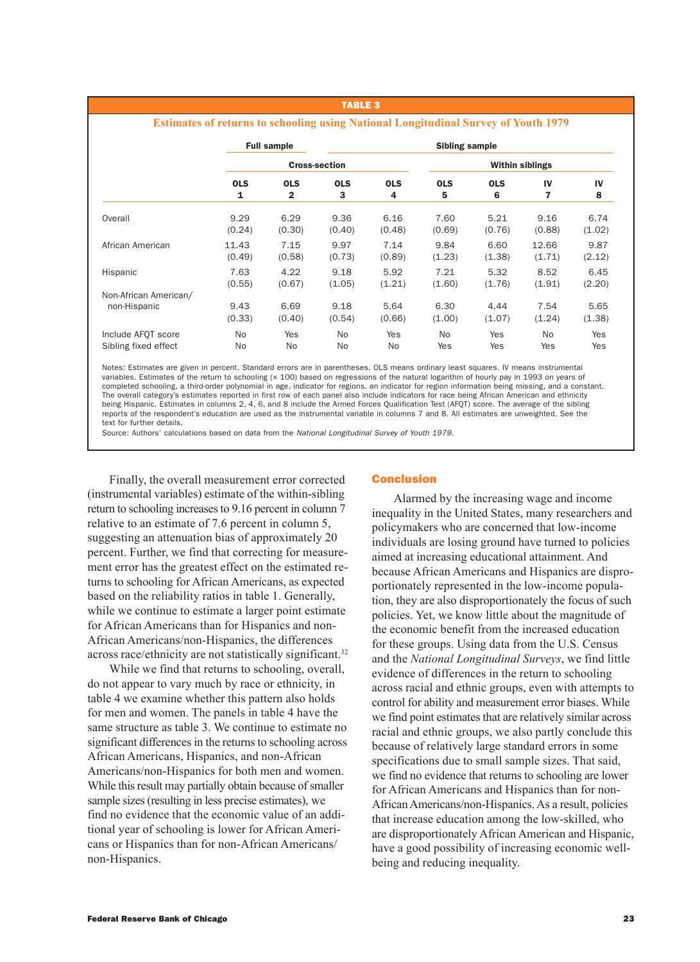#### **Estimates of returns to schooling using National Longitudinal Survey of Youth 1979**

|                       | <b>Full sample</b>   |                | Sibling sample |            |                        |            |                |        |
|-----------------------|----------------------|----------------|----------------|------------|------------------------|------------|----------------|--------|
|                       | <b>Cross-section</b> |                |                |            | <b>Within siblings</b> |            |                |        |
|                       | <b>OLS</b>           | <b>OLS</b>     | <b>OLS</b>     | <b>OLS</b> | <b>OLS</b>             | <b>OLS</b> | IV             | IV     |
|                       | 1                    | $\overline{2}$ | 3              | 4          | 5                      | 6          | 7              | 8      |
| Overall               | 9.29                 | 6.29           | 9.36           | 6.16       | 7.60                   | 5.21       | 9.16           | 6.74   |
|                       | (0.24)               | (0.30)         | (0.40)         | (0.48)     | (0.69)                 | (0.76)     | (0.88)         | (1.02) |
| African American      | 11.43                | 7.15           | 9.97           | 7.14       | 9.84                   | 6.60       | 12.66          | 9.87   |
|                       | (0.49)               | (0.58)         | (0.73)         | (0.89)     | (1.23)                 | (1.38)     | (1.71)         | (2.12) |
| Hispanic              | 7.63                 | 4.22           | 9.18           | 5.92       | 7.21                   | 5.32       | 8.52           | 6.45   |
|                       | (0.55)               | (0.67)         | (1.05)         | (1.21)     | (1.60)                 | (1.76)     | (1.91)         | (2.20) |
| Non-African American/ | 9.43                 | 6.69           | 9.18           | 5.64       | 6.30                   | 4.44       | 7.54           | 5.65   |
| non-Hispanic          | (0.33)               | (0.40)         | (0.54)         | (0.66)     | (1.00)                 | (1.07)     | (1.24)         | (1.38) |
| Include AFOT score    | No.                  | Yes            | No.            | Yes        | N <sub>o</sub>         | Yes        | N <sub>o</sub> | Yes    |
| Sibling fixed effect  | No.                  | No             | No.            | <b>No</b>  | Yes                    | Yes        | Yes            | Yes    |

Notes: Estimates are given in percent. Standard errors are in parentheses. OLS means ordinary least squares. IV means instrumental variables. Estimates of the return to schooling (x 100) based on regressions of the natural logarithm of hourly pay in 1993 on years of completed schooling, a third-order polynomial in age, indicator for regions, an indicator for region information being missing, and a constant. The overall category's estimates reported in first row of each panel also include indicators for race being African American and ethnicity being Hispanic. Estimates in columns 2, 4, 6, and 8 include the Armed Forces Qualification Test (AFQT) score. The average of the sibling reports of the respondent's education are used as the instrumental variable in columns 7 and 8. All estimates are unweighted. See the text for further details.

Source: Authors' calculations based on data from the National Longitudinal Survey of Youth 1979.

Finally, the overall measurement error corrected (instrumental variables) estimate of the within-sibling return to schooling increases to 9.16 percent in column 7 relative to an estimate of 7.6 percent in column 5, suggesting an attenuation bias of approximately 20 percent. Further, we find that correcting for measurement error has the greatest effect on the estimated returns to schooling for African Americans, as expected based on the reliability ratios in table 1. Generally, while we continue to estimate a larger point estimate for African Americans than for Hispanics and non-African Americans/non-Hispanics, the differences across race/ethnicity are not statistically significant.32

While we find that returns to schooling, overall, do not appear to vary much by race or ethnicity, in table 4 we examine whether this pattern also holds for men and women. The panels in table 4 have the same structure as table 3. We continue to estimate no significant differences in the returns to schooling across African Americans, Hispanics, and non-African Americans/non-Hispanics for both men and women. While this result may partially obtain because of smaller sample sizes (resulting in less precise estimates), we find no evidence that the economic value of an additional year of schooling is lower for African Americans or Hispanics than for non-African Americans/ non-Hispanics.

### Conclusion

Alarmed by the increasing wage and income inequality in the United States, many researchers and policymakers who are concerned that low-income individuals are losing ground have turned to policies aimed at increasing educational attainment. And because African Americans and Hispanics are disproportionately represented in the low-income population, they are also disproportionately the focus of such policies. Yet, we know little about the magnitude of the economic benefit from the increased education for these groups. Using data from the U.S. Census and the *National Longitudinal Surveys*, we find little evidence of differences in the return to schooling across racial and ethnic groups, even with attempts to control for ability and measurement error biases. While we find point estimates that are relatively similar across racial and ethnic groups, we also partly conclude this because of relatively large standard errors in some specifications due to small sample sizes. That said, we find no evidence that returns to schooling are lower for African Americans and Hispanics than for non-African Americans/non-Hispanics. As a result, policies that increase education among the low-skilled, who are disproportionately African American and Hispanic, have a good possibility of increasing economic wellbeing and reducing inequality.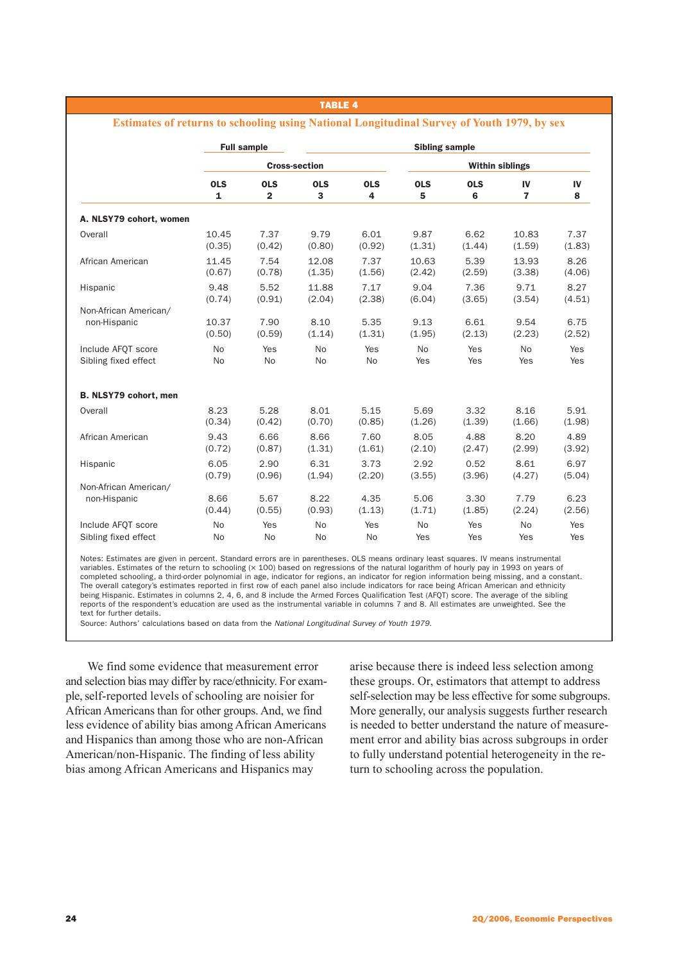|                         |              | <b>Full sample</b>   |            |            | <b>Sibling sample</b>  |            |                |        |
|-------------------------|--------------|----------------------|------------|------------|------------------------|------------|----------------|--------|
|                         |              | <b>Cross-section</b> |            |            | <b>Within siblings</b> |            |                |        |
|                         | <b>OLS</b>   | <b>OLS</b>           | <b>OLS</b> | <b>OLS</b> | <b>OLS</b>             | <b>OLS</b> | IV             | IV     |
|                         | $\mathbf{1}$ | $\overline{2}$       | 3          | 4          | 5                      | 6          | $\overline{7}$ | 8      |
| A. NLSY79 cohort, women |              |                      |            |            |                        |            |                |        |
| Overall                 | 10.45        | 7.37                 | 9.79       | 6.01       | 9.87                   | 6.62       | 10.83          | 7.37   |
|                         | (0.35)       | (0.42)               | (0.80)     | (0.92)     | (1.31)                 | (1.44)     | (1.59)         | (1.83) |
| African American        | 11.45        | 7.54                 | 12.08      | 7.37       | 10.63                  | 5.39       | 13.93          | 8.26   |
|                         | (0.67)       | (0.78)               | (1.35)     | (1.56)     | (2.42)                 | (2.59)     | (3.38)         | (4.06) |
| Hispanic                | 9.48         | 5.52                 | 11.88      | 7.17       | 9.04                   | 7.36       | 9.71           | 8.27   |
|                         | (0.74)       | (0.91)               | (2.04)     | (2.38)     | (6.04)                 | (3.65)     | (3.54)         | (4.51) |
| Non-African American/   | 10.37        | 7.90                 | 8.10       | 5.35       | 9.13                   | 6.61       | 9.54           | 6.75   |
| non-Hispanic            | (0.50)       | (0.59)               | (1.14)     | (1.31)     | (1.95)                 | (2.13)     | (2.23)         | (2.52) |
| Include AFOT score      | <b>No</b>    | Yes                  | <b>No</b>  | Yes        | <b>No</b>              | Yes        | <b>No</b>      | Yes    |
| Sibling fixed effect    | No           | No                   | No         | No         | Yes                    | Yes        | Yes            | Yes    |
| B. NLSY79 cohort, men   |              |                      |            |            |                        |            |                |        |
| Overall                 | 8.23         | 5.28                 | 8.01       | 5.15       | 5.69                   | 3.32       | 8.16           | 5.91   |
|                         | (0.34)       | (0.42)               | (0.70)     | (0.85)     | (1.26)                 | (1.39)     | (1.66)         | (1.98) |
| African American        | 9.43         | 6.66                 | 8.66       | 7.60       | 8.05                   | 4.88       | 8.20           | 4.89   |
|                         | (0.72)       | (0.87)               | (1.31)     | (1.61)     | (2.10)                 | (2.47)     | (2.99)         | (3.92) |
| Hispanic                | 6.05         | 2.90                 | 6.31       | 3.73       | 2.92                   | 0.52       | 8.61           | 6.97   |
|                         | (0.79)       | (0.96)               | (1.94)     | (2.20)     | (3.55)                 | (3.96)     | (4.27)         | (5.04) |
| Non-African American/   | 8.66         | 5.67                 | 8.22       | 4.35       | 5.06                   | 3.30       | 7.79           | 6.23   |
| non-Hispanic            | (0.44)       | (0.55)               | (0.93)     | (1.13)     | (1.71)                 | (1.85)     | (2.24)         | (2.56) |
| Include AFOT score      | <b>No</b>    | Yes                  | <b>No</b>  | Yes        | <b>No</b>              | Yes        | <b>No</b>      | Yes    |
| Sibling fixed effect    | No           | No                   | No         | No         | Yes                    | Yes        | Yes            | Yes    |

**Estimates of returns to schooling using National Longitudinal Survey of Youth 1979, by sex**

Notes: Estimates are given in percent. Standard errors are in parentheses. OLS means ordinary least squares. IV means instrumental variables. Estimates of the return to schooling (× 100) based on regressions of the natural logarithm of hourly pay in 1993 on years of completed schooling, a third-order polynomial in age, indicator for regions, an indicator for region information being missing, and a constant. The overall category's estimates reported in first row of each panel also include indicators for race being African American and ethnicity being Hispanic. Estimates in columns 2, 4, 6, and 8 include the Armed Forces Qualification Test (AFQT) score. The average of the sibling reports of the respondent's education are used as the instrumental variable in columns 7 and 8. All estimates are unweighted. See the text for further details.

Source: Authors' calculations based on data from the National Longitudinal Survey of Youth 1979.

We find some evidence that measurement error and selection bias may differ by race/ethnicity. For example, self-reported levels of schooling are noisier for African Americans than for other groups. And, we find less evidence of ability bias among African Americans and Hispanics than among those who are non-African American/non-Hispanic. The finding of less ability bias among African Americans and Hispanics may

arise because there is indeed less selection among these groups. Or, estimators that attempt to address self-selection may be less effective for some subgroups. More generally, our analysis suggests further research is needed to better understand the nature of measurement error and ability bias across subgroups in order to fully understand potential heterogeneity in the return to schooling across the population.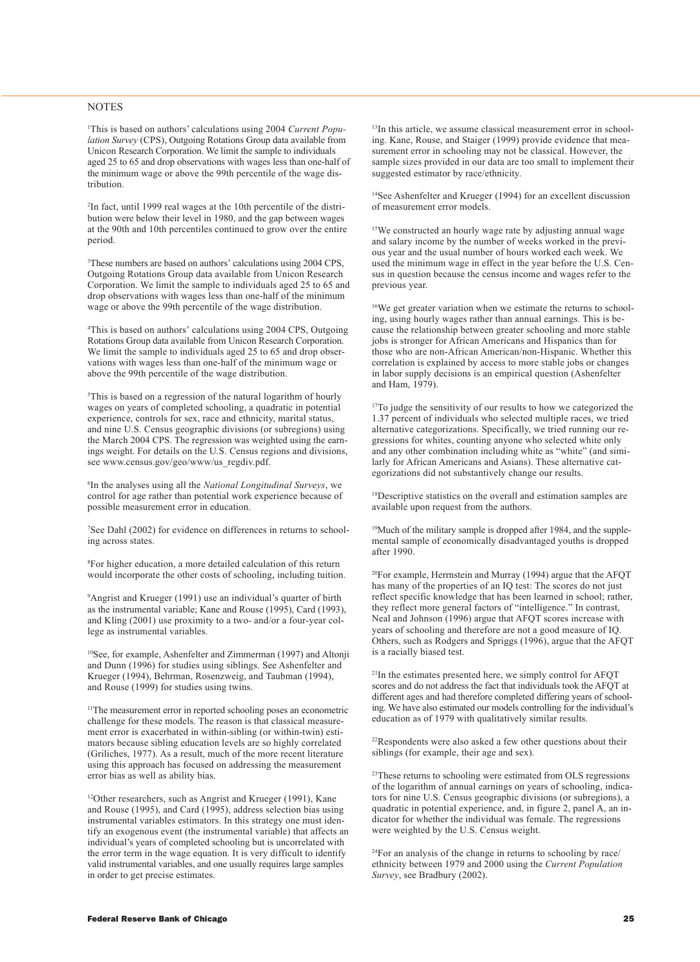#### **NOTES**

1 This is based on authors' calculations using 2004 *Current Population Survey* (CPS), Outgoing Rotations Group data available from Unicon Research Corporation. We limit the sample to individuals aged 25 to 65 and drop observations with wages less than one-half of the minimum wage or above the 99th percentile of the wage distribution.

2 In fact, until 1999 real wages at the 10th percentile of the distribution were below their level in 1980, and the gap between wages at the 90th and 10th percentiles continued to grow over the entire period.

3 These numbers are based on authors' calculations using 2004 CPS, Outgoing Rotations Group data available from Unicon Research Corporation. We limit the sample to individuals aged 25 to 65 and drop observations with wages less than one-half of the minimum wage or above the 99th percentile of the wage distribution.

4 This is based on authors' calculations using 2004 CPS, Outgoing Rotations Group data available from Unicon Research Corporation. We limit the sample to individuals aged 25 to 65 and drop observations with wages less than one-half of the minimum wage or above the 99th percentile of the wage distribution.

5 This is based on a regression of the natural logarithm of hourly wages on years of completed schooling, a quadratic in potential experience, controls for sex, race and ethnicity, marital status, and nine U.S. Census geographic divisions (or subregions) using the March 2004 CPS. The regression was weighted using the earnings weight. For details on the U.S. Census regions and divisions, see www.census.gov/geo/www/us\_regdiv.pdf.

6 In the analyses using all the *National Longitudinal Surveys*, we control for age rather than potential work experience because of possible measurement error in education.

7 See Dahl (2002) for evidence on differences in returns to schooling across states.

8 For higher education, a more detailed calculation of this return would incorporate the other costs of schooling, including tuition.

<sup>9</sup>Angrist and Krueger (1991) use an individual's quarter of birth as the instrumental variable; Kane and Rouse (1995), Card (1993), and Kling (2001) use proximity to a two- and/or a four-year college as instrumental variables.

10See, for example, Ashenfelter and Zimmerman (1997) and Altonji and Dunn (1996) for studies using siblings. See Ashenfelter and Krueger (1994), Behrman, Rosenzweig, and Taubman (1994), and Rouse (1999) for studies using twins.

<sup>11</sup>The measurement error in reported schooling poses an econometric challenge for these models. The reason is that classical measurement error is exacerbated in within-sibling (or within-twin) estimators because sibling education levels are so highly correlated (Griliches, 1977). As a result, much of the more recent literature using this approach has focused on addressing the measurement error bias as well as ability bias.

12Other researchers, such as Angrist and Krueger (1991), Kane and Rouse (1995), and Card (1995), address selection bias using instrumental variables estimators. In this strategy one must identify an exogenous event (the instrumental variable) that affects an individual's years of completed schooling but is uncorrelated with the error term in the wage equation. It is very difficult to identify valid instrumental variables, and one usually requires large samples in order to get precise estimates.

<sup>13</sup>In this article, we assume classical measurement error in schooling. Kane, Rouse, and Staiger (1999) provide evidence that measurement error in schooling may not be classical. However, the sample sizes provided in our data are too small to implement their suggested estimator by race/ethnicity.

14See Ashenfelter and Krueger (1994) for an excellent discussion of measurement error models.

<sup>15</sup>We constructed an hourly wage rate by adjusting annual wage and salary income by the number of weeks worked in the previous year and the usual number of hours worked each week. We used the minimum wage in effect in the year before the U.S. Census in question because the census income and wages refer to the previous year.

16We get greater variation when we estimate the returns to schooling, using hourly wages rather than annual earnings. This is because the relationship between greater schooling and more stable jobs is stronger for African Americans and Hispanics than for those who are non-African American/non-Hispanic. Whether this correlation is explained by access to more stable jobs or changes in labor supply decisions is an empirical question (Ashenfelter and Ham, 1979).

<sup>17</sup>To judge the sensitivity of our results to how we categorized the 1.37 percent of individuals who selected multiple races, we tried alternative categorizations. Specifically, we tried running our regressions for whites, counting anyone who selected white only and any other combination including white as "white" (and similarly for African Americans and Asians). These alternative categorizations did not substantively change our results.

18Descriptive statistics on the overall and estimation samples are available upon request from the authors.

<sup>19</sup>Much of the military sample is dropped after 1984, and the supplemental sample of economically disadvantaged youths is dropped after 1990.

20For example, Herrnstein and Murray (1994) argue that the AFQT has many of the properties of an IQ test: The scores do not just reflect specific knowledge that has been learned in school; rather, they reflect more general factors of "intelligence." In contrast, Neal and Johnson (1996) argue that AFQT scores increase with years of schooling and therefore are not a good measure of IQ. Others, such as Rodgers and Spriggs (1996), argue that the AFQT is a racially biased test.

21In the estimates presented here, we simply control for AFQT scores and do not address the fact that individuals took the AFQT at different ages and had therefore completed differing years of schooling. We have also estimated our models controlling for the individual's education as of 1979 with qualitatively similar results.

22Respondents were also asked a few other questions about their siblings (for example, their age and sex).

<sup>23</sup>These returns to schooling were estimated from OLS regressions of the logarithm of annual earnings on years of schooling, indicators for nine U.S. Census geographic divisions (or subregions), a quadratic in potential experience, and, in figure 2, panel A, an indicator for whether the individual was female. The regressions were weighted by the U.S. Census weight.

24For an analysis of the change in returns to schooling by race/ ethnicity between 1979 and 2000 using the *Current Population Survey*, see Bradbury (2002).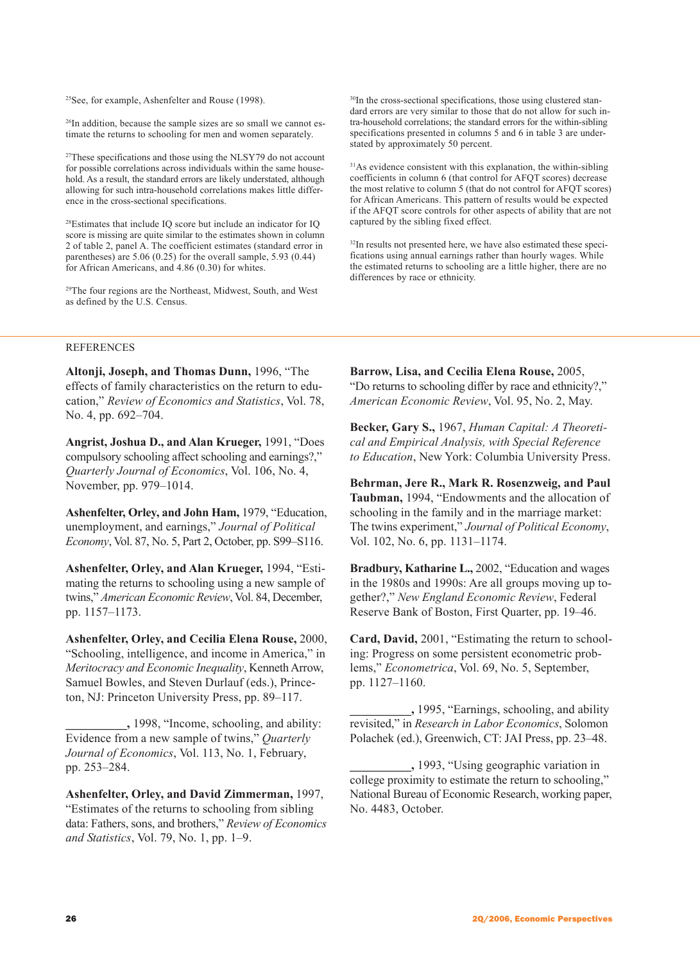25See, for example, Ashenfelter and Rouse (1998).

26In addition, because the sample sizes are so small we cannot estimate the returns to schooling for men and women separately.

<sup>27</sup>These specifications and those using the NLSY79 do not account for possible correlations across individuals within the same household. As a result, the standard errors are likely understated, although allowing for such intra-household correlations makes little difference in the cross-sectional specifications.

28Estimates that include IQ score but include an indicator for IQ score is missing are quite similar to the estimates shown in column 2 of table 2, panel A. The coefficient estimates (standard error in parentheses) are 5.06 (0.25) for the overall sample, 5.93 (0.44) for African Americans, and 4.86 (0.30) for whites.

29The four regions are the Northeast, Midwest, South, and West as defined by the U.S. Census.

30In the cross-sectional specifications, those using clustered standard errors are very similar to those that do not allow for such intra-household correlations; the standard errors for the within-sibling specifications presented in columns 5 and 6 in table 3 are understated by approximately 50 percent.

31As evidence consistent with this explanation, the within-sibling coefficients in column 6 (that control for AFQT scores) decrease the most relative to column 5 (that do not control for AFQT scores) for African Americans. This pattern of results would be expected if the AFQT score controls for other aspects of ability that are not captured by the sibling fixed effect.

<sup>32</sup>In results not presented here, we have also estimated these specifications using annual earnings rather than hourly wages. While the estimated returns to schooling are a little higher, there are no differences by race or ethnicity.

## REFERENCES

**Altonji, Joseph, and Thomas Dunn,** 1996, "The effects of family characteristics on the return to education," *Review of Economics and Statistics*, Vol. 78, No. 4, pp. 692–704.

**Angrist, Joshua D., and Alan Krueger,** 1991, "Does compulsory schooling affect schooling and earnings?," *Quarterly Journal of Economics*, Vol. 106, No. 4, November, pp. 979–1014.

**Ashenfelter, Orley, and John Ham,** 1979, "Education, unemployment, and earnings," *Journal of Political Economy*, Vol. 87, No. 5, Part 2, October, pp. S99–S116.

**Ashenfelter, Orley, and Alan Krueger,** 1994, "Estimating the returns to schooling using a new sample of twins," *American Economic Review*, Vol. 84, December, pp. 1157–1173.

**Ashenfelter, Orley, and Cecilia Elena Rouse,** 2000, "Schooling, intelligence, and income in America," in *Meritocracy and Economic Inequality*, Kenneth Arrow, Samuel Bowles, and Steven Durlauf (eds.), Princeton, NJ: Princeton University Press, pp. 89–117.

**\_\_\_\_\_\_\_\_\_\_,** 1998, "Income, schooling, and ability: Evidence from a new sample of twins," *Quarterly Journal of Economics*, Vol. 113, No. 1, February, pp. 253–284.

**Ashenfelter, Orley, and David Zimmerman,** 1997, "Estimates of the returns to schooling from sibling data: Fathers, sons, and brothers," *Review of Economics and Statistics*, Vol. 79, No. 1, pp. 1–9.

**Barrow, Lisa, and Cecilia Elena Rouse,** 2005, "Do returns to schooling differ by race and ethnicity?," *American Economic Review*, Vol. 95, No. 2, May.

**Becker, Gary S.,** 1967, *Human Capital: A Theoretical and Empirical Analysis, with Special Reference to Education*, New York: Columbia University Press.

**Behrman, Jere R., Mark R. Rosenzweig, and Paul Taubman,** 1994, "Endowments and the allocation of schooling in the family and in the marriage market: The twins experiment," *Journal of Political Economy*, Vol. 102, No. 6, pp. 1131–1174.

**Bradbury, Katharine L.,** 2002, "Education and wages in the 1980s and 1990s: Are all groups moving up together?," *New England Economic Review*, Federal Reserve Bank of Boston, First Quarter, pp. 19–46.

**Card, David,** 2001, "Estimating the return to schooling: Progress on some persistent econometric problems," *Econometrica*, Vol. 69, No. 5, September, pp. 1127–1160.

**\_\_\_\_\_\_\_\_\_\_,** 1995, "Earnings, schooling, and ability revisited," in *Research in Labor Economics*, Solomon Polachek (ed.), Greenwich, CT: JAI Press, pp. 23–48.

**\_\_\_\_\_\_\_\_\_\_,** 1993, "Using geographic variation in college proximity to estimate the return to schooling," National Bureau of Economic Research, working paper, No. 4483, October.